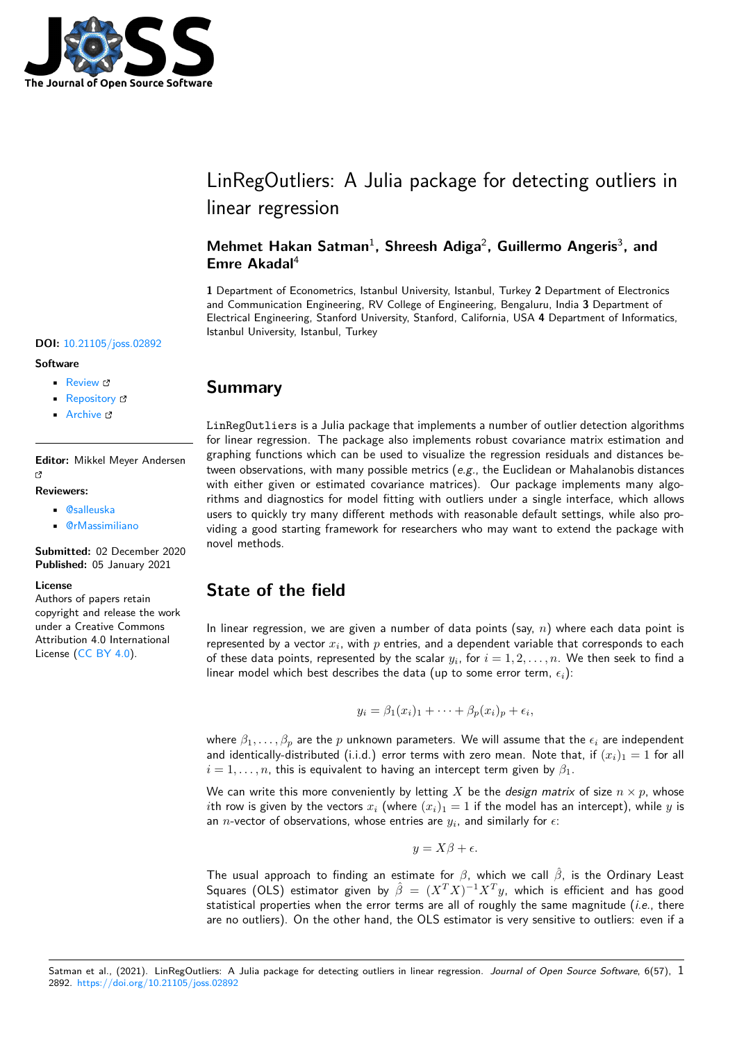

# LinRegOutliers: A Julia package for detecting outliers in linear regression

### Mehmet Hakan Satman<sup>1</sup>, Shreesh Adiga<sup>2</sup>, Guillermo Angeris<sup>3</sup>, and **Emre Akadal**<sup>4</sup>

**1** Department of Econometrics, Istanbul University, Istanbul, Turkey **2** Department of Electronics and Communication Engineering, RV College of Engineering, Bengaluru, India **3** Department of Electrical Engineering, Stanford University, Stanford, California, USA **4** Department of Informatics, Istanbul University, Istanbul, Turkey

#### **DOI:** 10.21105/joss.02892

#### **Software**

- Review C
- [Repository](https://doi.org/10.21105/joss.02892) &
- Archive

**Editor:** [Mikkel M](https://github.com/jbytecode/LinRegOutliers)eyer Andersen Γñ

#### **Reviewers:**

- @salleuska
- @rMassimiliano

**Submitted:** 02 December 2020 **Published:** [05 Ja](https://github.com/salleuska)nuary 2021

#### **Licen[se](https://github.com/rMassimiliano)**

Authors of papers retain copyright and release the work under a Creative Commons Attribution 4.0 International License (CC BY 4.0).

### **Summary**

LinRegOutliers is a Julia package that implements a number of outlier detection algorithms for linear regression. The package also implements robust covariance matrix estimation and graphing functions which can be used to visualize the regression residuals and distances between observations, with many possible metrics (*e.g.*, the Euclidean or Mahalanobis distances with either given or estimated covariance matrices). Our package implements many algorithms and diagnostics for model fitting with outliers under a single interface, which allows users to quickly try many different methods with reasonable default settings, while also providing a good starting framework for researchers who may want to extend the package with novel methods.

# **State of the field**

In linear regression, we are given a number of data points (say, *n*) where each data point is represented by a vector  $x_i$ , with  $p$  entries, and a dependent variable that corresponds to each of these data points, represented by the scalar  $y_i$ , for  $i = 1, 2, \ldots, n$ . We then seek to find a linear model which best describes the data (up to some error term,  $\epsilon_i$ ):

$$
y_i = \beta_1(x_i)_1 + \cdots + \beta_p(x_i)_p + \epsilon_i,
$$

where  $\beta_1, \ldots, \beta_p$  are the *p* unknown parameters. We will assume that the  $\epsilon_i$  are independent and identically-distributed (i.i.d.) error terms with zero mean. Note that, if  $(x_i)_1 = 1$  for all  $i = 1, \ldots, n$ , this is equivalent to having an intercept term given by  $\beta_1$ .

We can write this more conveniently by letting *X* be the *design matrix* of size  $n \times p$ , whose *i*th row is given by the vectors  $x_i$  (where  $(x_i)_1 = 1$  if the model has an intercept), while *y* is an *n*-vector of observations, whose entries are  $y_i$ , and similarly for  $\epsilon$ :

$$
y = X\beta + \epsilon.
$$

The usual approach to finding an estimate for *β*, which we call *β*ˆ, is the Ordinary Least Squares (OLS) estimator given by  $\hat{\beta} = (X^T X)^{-1} X^T y$ , which is efficient and has good statistical properties when the error terms are all of roughly the same magnitude (*i.e.*, there are no outliers). On the other hand, the OLS estimator is very sensitive to outliers: even if a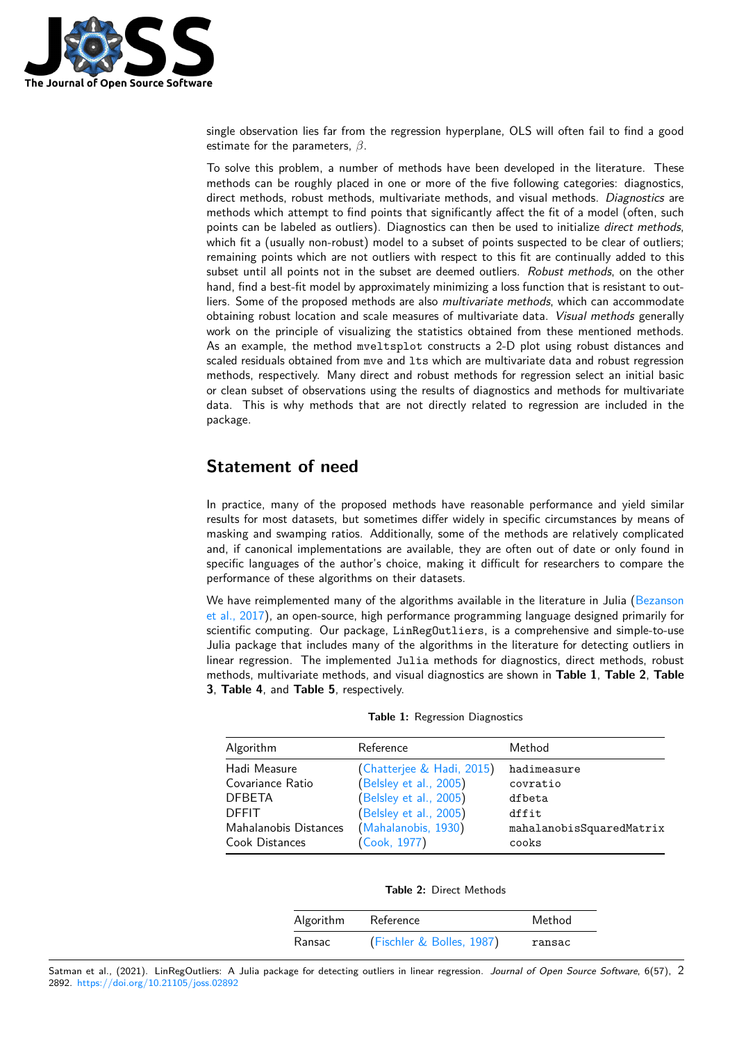

single observation lies far from the regression hyperplane, OLS will often fail to find a good estimate for the parameters, *β*.

To solve this problem, a number of methods have been developed in the literature. These methods can be roughly placed in one or more of the five following categories: diagnostics, direct methods, robust methods, multivariate methods, and visual methods. *Diagnostics* are methods which attempt to find points that significantly affect the fit of a model (often, such points can be labeled as outliers). Diagnostics can then be used to initialize *direct methods*, which fit a (usually non-robust) model to a subset of points suspected to be clear of outliers; remaining points which are not outliers with respect to this fit are continually added to this subset until all points not in the subset are deemed outliers. *Robust methods*, on the other hand, find a best-fit model by approximately minimizing a loss function that is resistant to outliers. Some of the proposed methods are also *multivariate methods*, which can accommodate obtaining robust location and scale measures of multivariate data. *Visual methods* generally work on the principle of visualizing the statistics obtained from these mentioned methods. As an example, the method mveltsplot constructs a 2-D plot using robust distances and scaled residuals obtained from mve and lts which are multivariate data and robust regression methods, respectively. Many direct and robust methods for regression select an initial basic or clean subset of observations using the results of diagnostics and methods for multivariate data. This is why methods that are not directly related to regression are included in the package.

# **Statement of need**

In practice, many of the proposed methods have reasonable performance and yield similar results for most datasets, but sometimes differ widely in specific circumstances by means of masking and swamping ratios. Additionally, some of the methods are relatively complicated and, if canonical implementations are available, they are often out of date or only found in specific languages of the author's choice, making it difficult for researchers to compare the performance of these algorithms on their datasets.

We have reimplemented many of the algorithms available in the literature in Julia (Bezanson et al., 2017), an open-source, high performance programming language designed primarily for scientific computing. Our package, LinRegOutliers, is a comprehensive and simple-to-use Julia package that includes many of the algorithms in the literature for detecting outliers in linear regression. The implemented Julia methods for diagnostics, direct metho[ds, robust](#page-4-0) [methods, m](#page-4-0)ultivariate methods, and visual diagnostics are shown in **Table 1**, **Table 2**, **Table 3**, **Table 4**, and **Table 5**, respectively.

| Algorithm             | Reference                 | Method                   |
|-----------------------|---------------------------|--------------------------|
| Hadi Measure          | (Chatterjee & Hadi, 2015) | hadimeasure              |
| Covariance Ratio      | (Belsley et al., 2005)    | covratio                 |
| <b>DFBETA</b>         | (Belsley et al., 2005)    | dfbeta                   |
| <b>DEFIT</b>          | (Belsley et al., 2005)    | dffit                    |
| Mahalanobis Distances | (Mahalanobis, 1930)       | mahalanobisSquaredMatrix |
| Cook Distances        | (Cook, 1977)              | cooks                    |

**Table 1:** Regression Diagnostics

**[Table 2:](#page-4-3)** Direct Methods

| Algorithm | Reference                 | Method |
|-----------|---------------------------|--------|
| Ransac    | (Fischler & Bolles, 1987) | ransac |

Satman et al., (2021). LinRegOutliers: A Julia package for detecting outliers in linear regression. *Journal of Open Source Software*, 6(57), 22892. https://doi.org/10.21105/joss.02892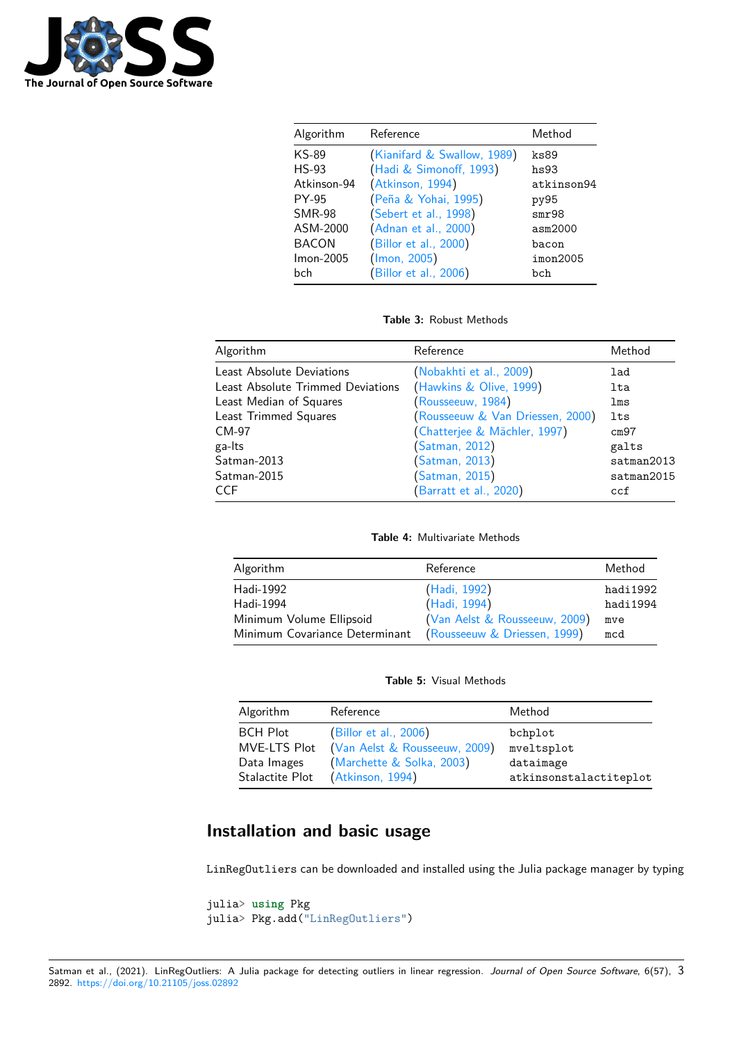

| Algorithm     | Reference                   | Method     |
|---------------|-----------------------------|------------|
| KS-89         | (Kianifard & Swallow, 1989) | ks89       |
| $HS-93$       | (Hadi & Simonoff, 1993)     | hs93       |
| Atkinson-94   | (Atkinson, 1994)            | atkinson94 |
| PY-95         | (Peña & Yohai, 1995)        | py95       |
| <b>SMR-98</b> | (Sebert et al., 1998)       | smr98      |
| ASM-2000      | (Adnan et al., 2000)        | asm2000    |
| <b>BACON</b>  | (Billor et al., 2000)       | bacon      |
| Imon-2005     | (lmon, 2005)                | imon2005   |
| bch           | (Billor et al., 2006)       | bch        |

### Table 3: Robust Methods

| Algorithm                         | Reference                        | Method     |
|-----------------------------------|----------------------------------|------------|
| Least Absolute Deviations         | (Nobakhti et al., 2009)          | lad        |
| Least Absolute Trimmed Deviations | (Hawkins & Olive, 1999)          | lta        |
| Least Median of Squares           | (Rousseeuw, 1984)                | lms        |
| Least Trimmed Squares             | (Rousseeuw & Van Driessen, 2000) | lts        |
| CM-97                             | (Chatterjee & Mächler, 1997)     | cm97       |
| ga-Its                            | (Satman, 2012)                   | galts      |
| Satman-2013                       | (Satman, 2013)                   | satman2013 |
| Satman-2015                       | (Satman, 2015)                   | satman2015 |
| <b>CCF</b>                        | (Barratt et al., 2020)           | ccf        |

Table 4: Multivariate Methods

| Algorithm                                                   | Reference                     | Method   |
|-------------------------------------------------------------|-------------------------------|----------|
| Hadi-1992                                                   | (Hadi, 1992)                  | hadi1992 |
| Hadi-1994                                                   | (Hadi, 1994)                  | hadi1994 |
| Minimum Volume Ellipsoid                                    | (Van Aelst & Rousseeuw, 2009) | mve      |
| Minimum Covariance Determinant (Rousseeuw & Driessen, 1999) |                               | mcd      |

Table 5: Visual Methods

| Algorithm       | Reference                     | Method                 |
|-----------------|-------------------------------|------------------------|
| <b>BCH Plot</b> | (Billor et al., 2006)         | bchplot                |
| MVE-LTS Plot    | (Van Aelst & Rousseeuw, 2009) | mveltsplot             |
| Data Images     | (Marchette & Solka, 2003)     | dataimage              |
| Stalactite Plot | (Atkinson, 1994)              | atkinsonstalactiteplot |

# Installation and basic usage

LinRegOutliers can be downloaded and installed using the Julia package manager by typing

```
julia> using Pkg
julia> Pkg.add("LinRegOutliers")
```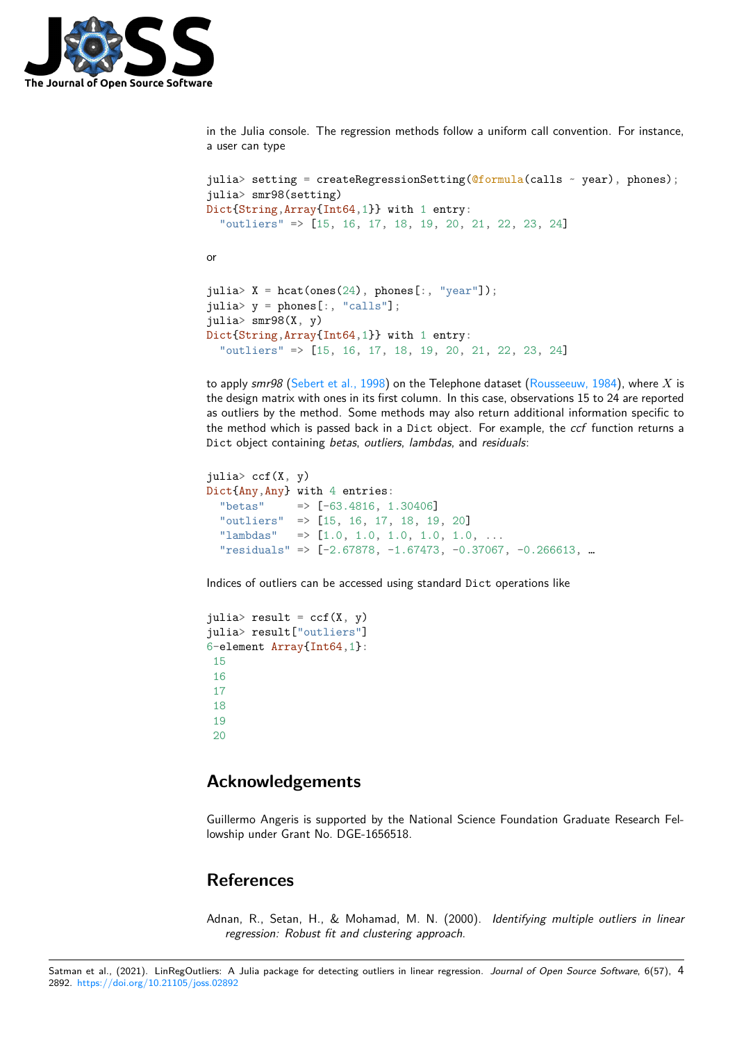

in the Julia console. The regression methods follow a uniform call convention. For instance, a user can type

```
julia> setting = createRegressionSetting(@formula(calls ~\sim year), phones);
julia> smr98(setting)
Dict{String,Array{Int64,1}} with 1 entry:
  "outliers" => [15, 16, 17, 18, 19, 20, 21, 22, 23, 24]
or
julia> X = \text{hcat(ones}(24), \text{phones}[:, "year"];
julia> y =phones[:, "calls"];
julia> smr98(X, y)
Dict{String,Array{Int64,1}} with 1 entry:
  "outliers" => [15, 16, 17, 18, 19, 20, 21, 22, 23, 24]
```
to apply *smr98* (Sebert et al., 1998) on the Telephone dataset (Rousseeuw, 1984), where *X* is the design matrix with ones in its first column. In this case, observations 15 to 24 are reported as outliers by the method. Some methods may also return additional information specific to the method which is passed back in a Dict object. For example, the *ccf* function returns a Dict object con[taining](#page-5-1) *betas*, *outliers*, *lambdas*, and *residuals*:

```
julia> ccf(X, y)Dict{Any,Any} with 4 entries:
  "betas" => [-63.4816, 1.30406]
  "outliers" => [15, 16, 17, 18, 19, 20]
  "lambdas" \Rightarrow [1.0, 1.0, 1.0, 1.0, 1.0, ...
  "residuals" => [-2.67878, -1.67473, -0.37067, -0.266613, …
```
Indices of outliers can be accessed using standard Dict operations like

```
julia> result = ccf(X, y)julia> result["outliers"]
6-element Array{Int64,1}:
15
16
17
18
19
20
```
### **Acknowledgements**

Guillermo Angeris is supported by the National Science Foundation Graduate Research Fellowship under Grant No. DGE-1656518.

### **References**

Adnan, R., Setan, H., & Mohamad, M. N. (2000). *Identifying multiple outliers in linear regression: Robust fit and clustering approach*.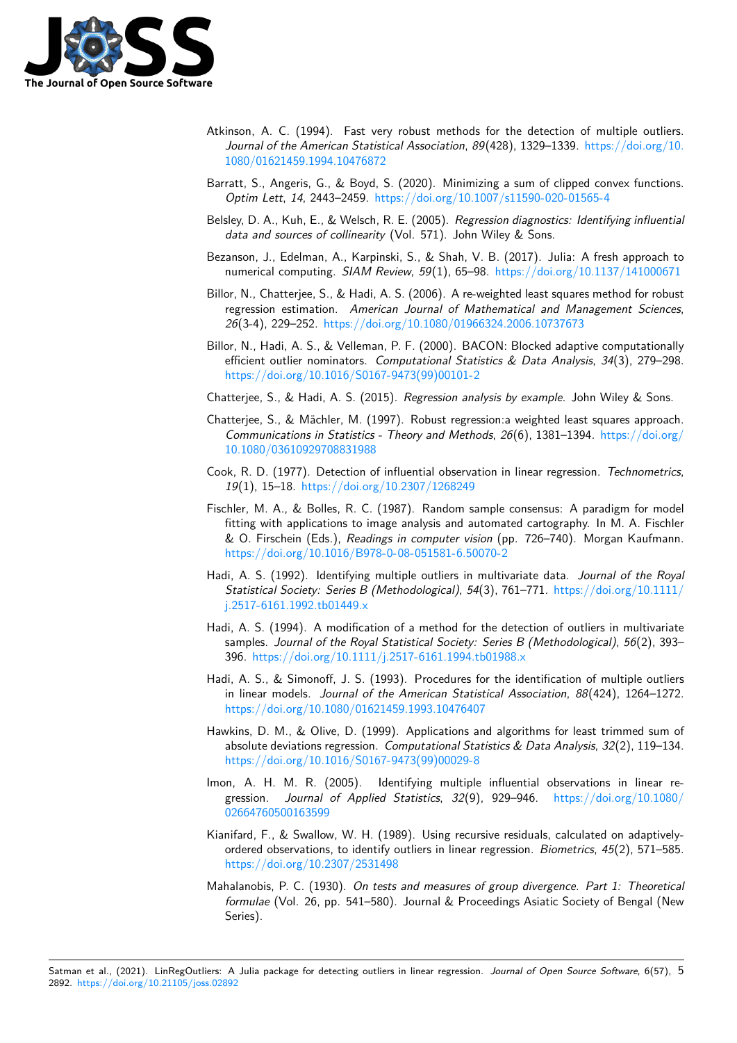

- Atkinson, A. C. (1994). Fast very robust methods for the detection of multiple outliers. *Journal of the American Statistical Association*, *89*(428), 1329–1339. https://doi.org/10. 1080/01621459.1994.10476872
- Barratt, S., Angeris, G., & Boyd, S. (2020). Minimizing a sum of clipped convex functions. *Optim Lett*, *14*, 2443–2459. https://doi.org/10.1007/s11590-020-01[565-4](https://doi.org/10.1080/01621459.1994.10476872)
- <span id="page-4-7"></span>Bel[sley, D. A., Kuh, E., & Welsch, R](https://doi.org/10.1080/01621459.1994.10476872). E. (2005). *Regression diagnostics: Identifying influential data and sources of collinearity* (Vol. 571). John Wiley & Sons.
- <span id="page-4-12"></span>Bezanson, J., Edelman, A., Kar[pinski, S., & Shah, V. B. \(2017\). Julia: A fres](https://doi.org/10.1007/s11590-020-01565-4)h approach to numerical computing. *SIAM Review*, *59*(1), 65–98. https://doi.org/10.1137/141000671
- <span id="page-4-2"></span>Billor, N., Chatterjee, S., & Hadi, A. S. (2006). A re-weighted least squares method for robust regression estimation. *American Journal of Mathematical and Management Sciences*, *26*(3-4), 229–252. https://doi.org/10.1080/019663[24.2006.10737673](https://doi.org/10.1137/141000671)
- <span id="page-4-9"></span><span id="page-4-0"></span>Billor, N., Hadi, A. S., & Velleman, P. F. (2000). BACON: Blocked adaptive computationally efficient outlier nominators. *Computational Statistics & Data Analysis*, *34*(3), 279–298. https://doi.org/10[.1016/S0167-9473\(99\)00101-2](https://doi.org/10.1080/01966324.2006.10737673)
- Chatterjee, S., & Hadi, A. S. (2015). *Regression analysis by example*. John Wiley & Sons.
- Chatterjee, S., & Mächler, M. (1997). Robust regression:a weighted least squares approach. *[Communications in Statistics - Theory and Metho](https://doi.org/10.1016/S0167-9473(99)00101-2)ds*, *26*(6), 1381–1394. https://doi.org/ 10.1080/03610929708831988
- <span id="page-4-11"></span><span id="page-4-1"></span>Cook, R. D. (1977). Detection of influential observation in linear regression. *Technometrics*, *19*(1), 15–18. https://doi.org/10.2307/1268249
- <span id="page-4-4"></span>Fis[chler, M. A., & Bolles, R. C.](https://doi.org/10.1080/03610929708831988) (1987). Random sample consensus: A par[adigm for model](https://doi.org/10.1080/03610929708831988) fitting with applications to image analysis and automated cartography. In M. A. Fischler & O. Firschein (Eds.), *Readings in computer vision* (pp. 726–740). Morgan Kaufmann. https://doi.or[g/10.1016/B978-0-08-051581-6.50](https://doi.org/10.2307/1268249)070-2
- Hadi, A. S. (1992). Identifying multiple outliers in multivariate data. *Journal of the Royal Statistical Society: Series B (Methodological)*, *54*(3), 761–771. https://doi.org/10.1111/ [j.2517-6161.1992.tb01449.x](https://doi.org/10.1016/B978-0-08-051581-6.50070-2)
- Hadi, A. S. (1994). A modification of a method for the detection of outliers in multivariate samples. *Journal of the Royal Statistical Society: Series B (Met[hodological\)](https://doi.org/10.1111/j.2517-6161.1992.tb01449.x)*, *56*(2), 393– 396. [https://doi.org/10.111](https://doi.org/10.1111/j.2517-6161.1992.tb01449.x)1/j.2517-6161.1994.tb01988.x
- Hadi, A. S., & Simonoff, J. S. (1993). Procedures for the identification of multiple outliers in linear models. *Journal of the American Statistical Association*, *88*(424), 1264–1272. https[://doi.org/10.1080/01621459.1993.10476407](https://doi.org/10.1111/j.2517-6161.1994.tb01988.x)
- <span id="page-4-6"></span>Hawkins, D. M., & Olive, D. (1999). Applications and algorithms for least trimmed sum of absolute deviations regression. *Computational Statistics & Data Analysis*, *32*(2), 119–134. [https://doi.org/10.1016/S0167-9473\(99\)00029-8](https://doi.org/10.1080/01621459.1993.10476407)
- <span id="page-4-10"></span>Imon, A. H. M. R. (2005). Identifying multiple influential observations in linear regression. *Journal of Applied Statistics*, *32*(9), 929–946. https://doi.org/10.1080/ [02664760500163599](https://doi.org/10.1016/S0167-9473(99)00029-8)
- <span id="page-4-8"></span>Kianifard, F., & Swallow, W. H. (1989). Using recursive residuals, calculated on adaptivelyordered observations, to identify outliers in linear regression. *Biometrics*, *45*[\(2\), 571–585.](https://doi.org/10.1080/02664760500163599) [https://doi.org/10.2](https://doi.org/10.1080/02664760500163599)307/2531498
- <span id="page-4-5"></span><span id="page-4-3"></span>Mahalanobis, P. C. (1930). *On tests and measures of group divergence. Part 1: Theoretical formulae* (Vol. 26, pp. 541–580). Journal & Proceedings Asiatic Society of Bengal (New [Series\).](https://doi.org/10.2307/2531498)

Satman et al., (2021). LinRegOutliers: A Julia package for detecting outliers in linear regression. *Journal of Open Source Software*, 6(57), 52892. https://doi.org/10.21105/joss.02892